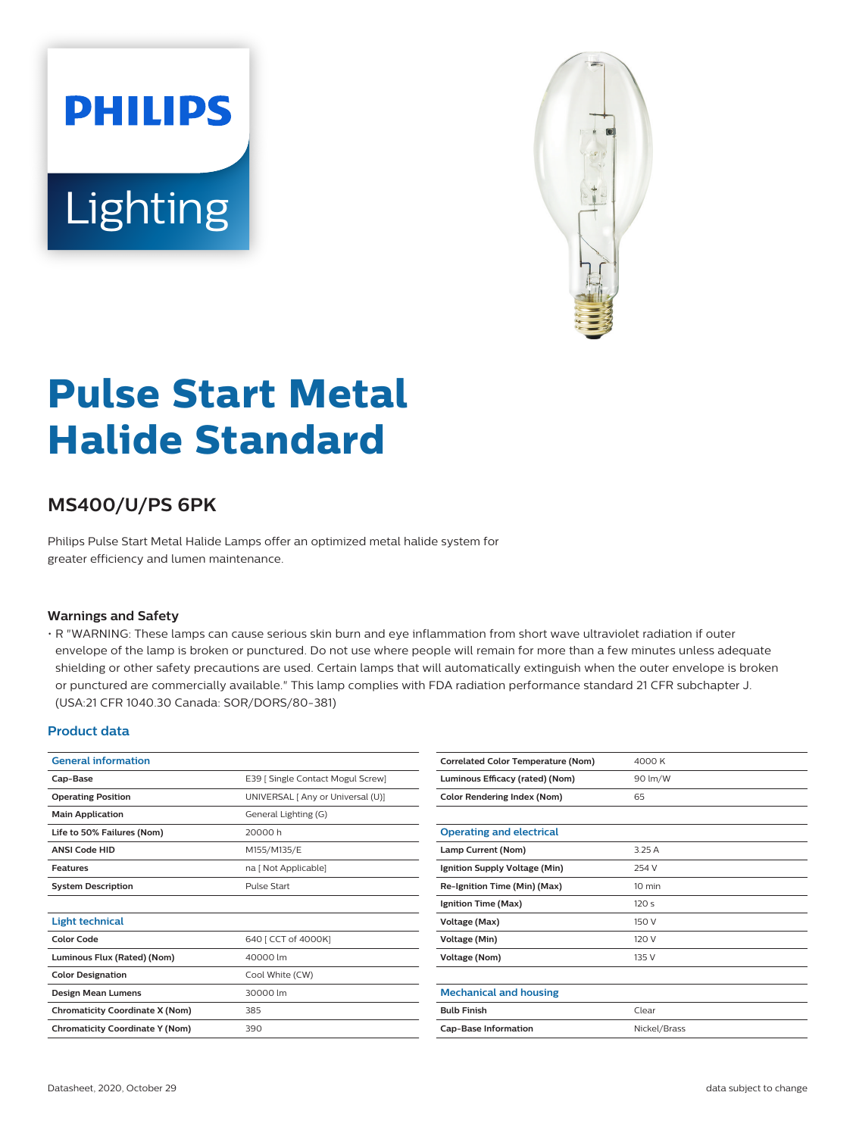# **PHILIPS** Lighting



## **Pulse Start Metal Halide Standard**

### **MS400/U/PS 6PK**

Philips Pulse Start Metal Halide Lamps offer an optimized metal halide system for greater efficiency and lumen maintenance.

#### **Warnings and Safety**

• R "WARNING: These lamps can cause serious skin burn and eye inflammation from short wave ultraviolet radiation if outer envelope of the lamp is broken or punctured. Do not use where people will remain for more than a few minutes unless adequate shielding or other safety precautions are used. Certain lamps that will automatically extinguish when the outer envelope is broken or punctured are commercially available." This lamp complies with FDA radiation performance standard 21 CFR subchapter J. (USA:21 CFR 1040.30 Canada: SOR/DORS/80-381)

#### **Product data**

| <b>General information</b>             |                                   |  |
|----------------------------------------|-----------------------------------|--|
| Cap-Base                               | E39 [ Single Contact Mogul Screw] |  |
| <b>Operating Position</b>              | UNIVERSAL [ Any or Universal (U)] |  |
| <b>Main Application</b>                | General Lighting (G)              |  |
| Life to 50% Failures (Nom)             | 20000 h                           |  |
| <b>ANSI Code HID</b>                   | M155/M135/E                       |  |
| <b>Features</b>                        | na [ Not Applicable]              |  |
| <b>System Description</b>              | Pulse Start                       |  |
|                                        |                                   |  |
| Light technical                        |                                   |  |
| <b>Color Code</b>                      | 640 [ CCT of 4000K]               |  |
| Luminous Flux (Rated) (Nom)            | 40000 lm                          |  |
| <b>Color Designation</b>               | Cool White (CW)                   |  |
| Design Mean Lumens                     | 30000 lm                          |  |
| <b>Chromaticity Coordinate X (Nom)</b> | 385                               |  |
| <b>Chromaticity Coordinate Y (Nom)</b> | 390                               |  |

| <b>Correlated Color Temperature (Nom)</b> | 4000 K           |  |
|-------------------------------------------|------------------|--|
| Luminous Efficacy (rated) (Nom)           | 90 lm/W          |  |
| <b>Color Rendering Index (Nom)</b>        | 65               |  |
|                                           |                  |  |
| <b>Operating and electrical</b>           |                  |  |
| Lamp Current (Nom)                        | 3.25 A           |  |
| Ignition Supply Voltage (Min)             | 254 V            |  |
| Re-Ignition Time (Min) (Max)              | $10 \text{ min}$ |  |
| Ignition Time (Max)                       | 120s             |  |
| Voltage (Max)                             | 150 V            |  |
| <b>Voltage (Min)</b>                      | 120 V            |  |
| <b>Voltage (Nom)</b>                      | 135 V            |  |
|                                           |                  |  |
| <b>Mechanical and housing</b>             |                  |  |
| <b>Bulb Finish</b>                        | Clear            |  |
| <b>Cap-Base Information</b>               | Nickel/Brass     |  |
|                                           |                  |  |